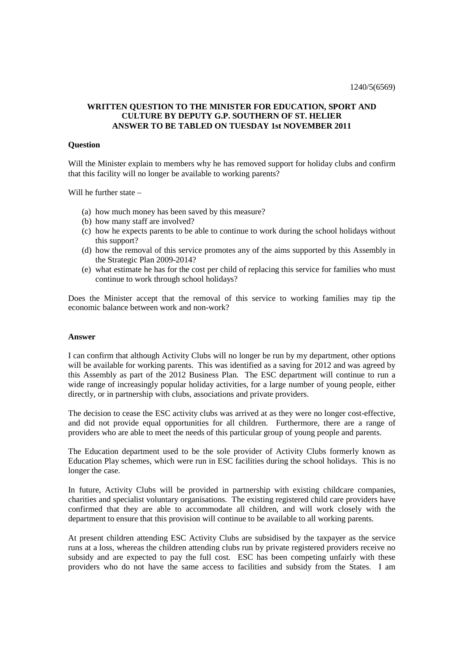# **WRITTEN QUESTION TO THE MINISTER FOR EDUCATION, SPORT AND CULTURE BY DEPUTY G.P. SOUTHERN OF ST. HELIER ANSWER TO BE TABLED ON TUESDAY 1st NOVEMBER 2011**

### **Question**

Will the Minister explain to members why he has removed support for holiday clubs and confirm that this facility will no longer be available to working parents?

Will he further state –

- (a) how much money has been saved by this measure?
- (b) how many staff are involved?
- (c) how he expects parents to be able to continue to work during the school holidays without this support?
- (d) how the removal of this service promotes any of the aims supported by this Assembly in the Strategic Plan 2009-2014?
- (e) what estimate he has for the cost per child of replacing this service for families who must continue to work through school holidays?

Does the Minister accept that the removal of this service to working families may tip the economic balance between work and non-work?

#### **Answer**

I can confirm that although Activity Clubs will no longer be run by my department, other options will be available for working parents. This was identified as a saving for 2012 and was agreed by this Assembly as part of the 2012 Business Plan. The ESC department will continue to run a wide range of increasingly popular holiday activities, for a large number of young people, either directly, or in partnership with clubs, associations and private providers.

The decision to cease the ESC activity clubs was arrived at as they were no longer cost-effective, and did not provide equal opportunities for all children. Furthermore, there are a range of providers who are able to meet the needs of this particular group of young people and parents.

The Education department used to be the sole provider of Activity Clubs formerly known as Education Play schemes, which were run in ESC facilities during the school holidays. This is no longer the case.

In future, Activity Clubs will be provided in partnership with existing childcare companies, charities and specialist voluntary organisations. The existing registered child care providers have confirmed that they are able to accommodate all children, and will work closely with the department to ensure that this provision will continue to be available to all working parents.

At present children attending ESC Activity Clubs are subsidised by the taxpayer as the service runs at a loss, whereas the children attending clubs run by private registered providers receive no subsidy and are expected to pay the full cost. ESC has been competing unfairly with these providers who do not have the same access to facilities and subsidy from the States. I am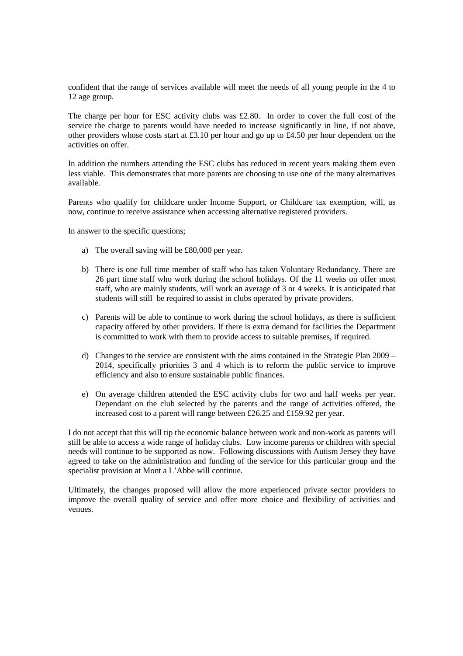confident that the range of services available will meet the needs of all young people in the 4 to 12 age group.

The charge per hour for ESC activity clubs was £2.80. In order to cover the full cost of the service the charge to parents would have needed to increase significantly in line, if not above, other providers whose costs start at £3.10 per hour and go up to £4.50 per hour dependent on the activities on offer.

In addition the numbers attending the ESC clubs has reduced in recent years making them even less viable. This demonstrates that more parents are choosing to use one of the many alternatives available.

Parents who qualify for childcare under Income Support, or Childcare tax exemption, will, as now, continue to receive assistance when accessing alternative registered providers.

In answer to the specific questions;

- a) The overall saving will be £80,000 per year.
- b) There is one full time member of staff who has taken Voluntary Redundancy. There are 26 part time staff who work during the school holidays. Of the 11 weeks on offer most staff, who are mainly students, will work an average of 3 or 4 weeks. It is anticipated that students will still be required to assist in clubs operated by private providers.
- c) Parents will be able to continue to work during the school holidays, as there is sufficient capacity offered by other providers. If there is extra demand for facilities the Department is committed to work with them to provide access to suitable premises, if required.
- d) Changes to the service are consistent with the aims contained in the Strategic Plan 2009 2014, specifically priorities 3 and 4 which is to reform the public service to improve efficiency and also to ensure sustainable public finances.
- e) On average children attended the ESC activity clubs for two and half weeks per year. Dependant on the club selected by the parents and the range of activities offered, the increased cost to a parent will range between £26.25 and £159.92 per year.

I do not accept that this will tip the economic balance between work and non-work as parents will still be able to access a wide range of holiday clubs. Low income parents or children with special needs will continue to be supported as now. Following discussions with Autism Jersey they have agreed to take on the administration and funding of the service for this particular group and the specialist provision at Mont a L'Abbe will continue.

Ultimately, the changes proposed will allow the more experienced private sector providers to improve the overall quality of service and offer more choice and flexibility of activities and venues.